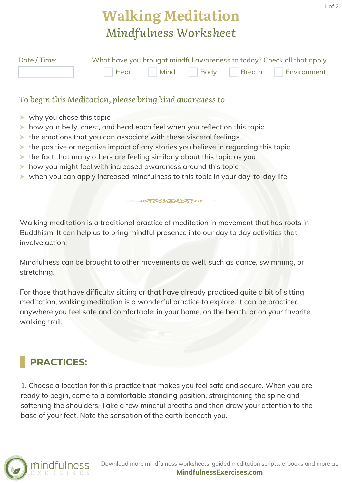## **Walking Meditation** *Mindfulness Worksheet*

| Date / Time: | What have you brought mindful awareness to today? Check all that apply. |  |  |  |                                    |
|--------------|-------------------------------------------------------------------------|--|--|--|------------------------------------|
|              |                                                                         |  |  |  | Heart Mind Body Breath Environment |

## *To begin this Meditation, please bring kind awareness to*

- ➤ why you chose this topic
- ➤ how your belly, chest, and head each feel when you reflect on this topic
- ➤ the emotions that you can associate with these visceral feelings
- ➤ the positive or negative impact of any stories you believe in regarding this topic
- ➤ the fact that many others are feeling similarly about this topic as you
- ➤ how you might feel with increased awareness around this topic
- ➤ when you can apply increased mindfulness to this topic in your day-to-day life

Walking meditation is a traditional practice of meditation in movement that has roots in Buddhism. It can help us to bring mindful presence into our day to day activities that involve action.

ANAUTH

Mindfulness can be brought to other movements as well, such as dance, swimming, or stretching.

For those that have difficulty sitting or that have already practiced quite a bit of sitting meditation, walking meditation is a wonderful practice to explore. It can be practiced anywhere you feel safe and comfortable: in your home, on the beach, or on your favorite walking trail.

## **PRACTICES:**

1. Choose a location for this practice that makes you feel safe and secure. When you are ready to begin, come to a comfortable standing position, straightening the spine and softening the shoulders. Take a few mindful breaths and then draw your attention to the base of your feet. Note the sensation of the earth beneath you.